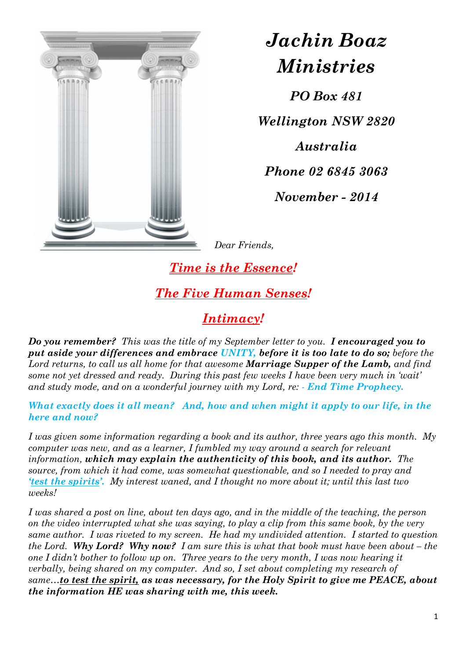

*Jachin Boaz Ministries*

*PO Box 481* 

*Wellington NSW 2820* 

*Australia Phone 02 6845 3063* 

*November - 2014* 

*Dear Friends,* 

*Time is the Essence! The Five Human Senses!* 

*Intimacy!* 

*Do you remember? This was the title of my September letter to you. I encouraged you to put aside your differences and embrace UNITY, before it is too late to do so; before the Lord returns, to call us all home for that awesome Marriage Supper of the Lamb, and find some not yet dressed and ready. During this past few weeks I have been very much in 'wait' and study mode, and on a wonderful journey with my Lord, re:*  $\cdot$  *<i>End Time Prophecy.* 

*What exactly does it all mean? And, how and when might it apply to our life, in the here and now?* 

*I was given some information regarding a book and its author, three years ago this month. My computer was new, and as a learner, I fumbled my way around a search for relevant information, which may explain the authenticity of this book, and its author. The source, from which it had come, was somewhat questionable, and so I needed to pray and 'test the spirits'. My interest waned, and I thought no more about it; until this last two weeks!* 

*I was shared a post on line, about ten days ago, and in the middle of the teaching, the person on the video interrupted what she was saying, to play a clip from this same book, by the very same author. I was riveted to my screen. He had my undivided attention. I started to question the Lord. Why Lord? Why now? I am sure this is what that book must have been about – the one I didn't bother to follow up on. Three years to the very month, I was now hearing it verbally, being shared on my computer. And so, I set about completing my research of same…to test the spirit, as was necessary, for the Holy Spirit to give me PEACE, about the information HE was sharing with me, this week.*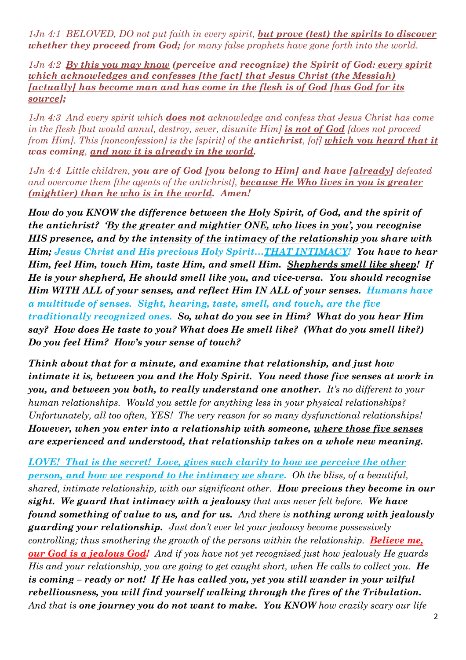*1Jn 4:1 BELOVED, DO not put faith in every spirit, but prove (test) the spirits to discover whether they proceed from God; for many false prophets have gone forth into the world.* 

*1Jn 4:2 By this you may know (perceive and recognize) the Spirit of God: every spirit which acknowledges and confesses [the fact] that Jesus Christ (the Messiah) [actually] has become man and has come in the flesh is of God [has God for its source];* 

*1Jn 4:3 And every spirit which does not acknowledge and confess that Jesus Christ has come in the flesh [but would annul, destroy, sever, disunite Him] is not of God [does not proceed from Him]. This [nonconfession] is the [spirit] of the antichrist, [of] which you heard that it was coming, and now it is already in the world.* 

*1Jn 4:4 Little children, you are of God [you belong to Him] and have [already] defeated and overcome them [the agents of the antichrist], because He Who lives in you is greater (mightier) than he who is in the world. Amen!* 

*How do you KNOW the difference between the Holy Spirit, of God, and the spirit of the antichrist? 'By the greater and mightier ONE, who lives in you', you recognise HIS presence, and by the intensity of the intimacy of the relationship you share with Him; Jesus Christ and His precious Holy Spirit…THAT INTIMACY! You have to hear Him, feel Him, touch Him, taste Him, and smell Him. Shepherds smell like sheep! If He is your shepherd, He should smell like you, and vice-versa. You should recognise Him WITH ALL of your senses, and reflect Him IN ALL of your senses. Humans have a multitude of senses. Sight, hearing, taste, smell, and touch, are the five traditionally recognized ones. So, what do you see in Him? What do you hear Him say? How does He taste to you? What does He smell like? (What do you smell like?) Do you feel Him? How's your sense of touch?* 

*Think about that for a minute, and examine that relationship, and just how intimate it is, between you and the Holy Spirit. You need those five senses at work in you, and between you both, to really understand one another. It's no different to your human relationships. Would you settle for anything less in your physical relationships? Unfortunately, all too often, YES! The very reason for so many dysfunctional relationships! However, when you enter into a relationship with someone, where those five senses are experienced and understood, that relationship takes on a whole new meaning.* 

*LOVE! That is the secret! Love, gives such clarity to how we perceive the other person, and how we respond to the intimacy we share. Oh the bliss, of a beautiful, shared, intimate relationship, with our significant other. How precious they become in our sight. We guard that intimacy with a jealousy that was never felt before. We have found something of value to us, and for us. And there is nothing wrong with jealously guarding your relationship. Just don't ever let your jealousy become possessively controlling; thus smothering the growth of the persons within the relationship. Believe me, our God is a jealous God! And if you have not yet recognised just how jealously He guards His and your relationship, you are going to get caught short, when He calls to collect you.* He *is coming – ready or not! If He has called you, yet you still wander in your wilful rebelliousness, you will find yourself walking through the fires of the Tribulation. And that is one journey you do not want to make. You KNOW how crazily scary our life*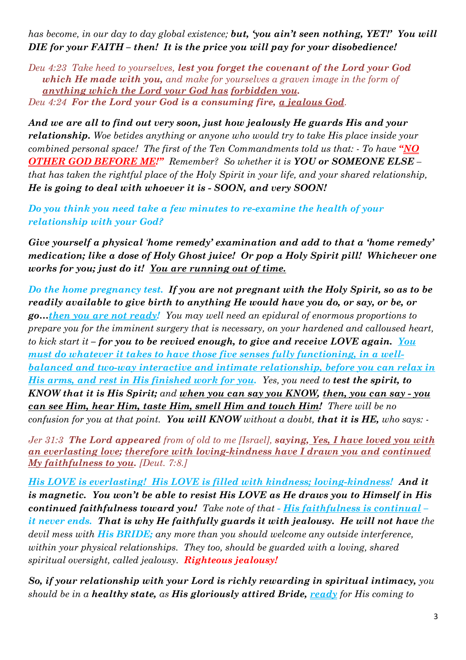*has become, in our day to day global existence; but, 'you ain't seen nothing, YET!' You will DIE for your FAITH – then! It is the price you will pay for your disobedience!*

*Deu 4:23 Take heed to yourselves, lest you forget the covenant of the Lord your God which He made with you, and make for yourselves a graven image in the form of anything which the Lord your God has forbidden you. Deu 4:24 For the Lord your God is a consuming fire, a jealous God.* 

*And we are all to find out very soon, just how jealously He guards His and your relationship. Woe betides anything or anyone who would try to take His place inside your combined personal space! The first of the Ten Commandments told us that: - To have "NO OTHER GOD BEFORE ME!" Remember? So whether it is YOU or SOMEONE ELSE – that has taken the rightful place of the Holy Spirit in your life, and your shared relationship, He is going to deal with whoever it is - SOON, and very SOON!* 

*Do you think you need take a few minutes to re-examine the health of your relationship with your God?* 

*Give yourself a physical 'home remedy' examination and add to that a 'home remedy' medication; like a dose of Holy Ghost juice! Or pop a Holy Spirit pill! Whichever one works for you; just do it! You are running out of time.* 

*Do the home pregnancy test. If you are not pregnant with the Holy Spirit, so as to be readily available to give birth to anything He would have you do, or say, or be, or go…then you are not ready! You may well need an epidural of enormous proportions to prepare you for the imminent surgery that is necessary, on your hardened and calloused heart, to kick start it – for you to be revived enough, to give and receive LOVE again. You must do whatever it takes to have those five senses fully functioning, in a wellbalanced and two-way interactive and intimate relationship, before you can relax in His arms, and rest in His finished work for you. Yes, you need to test the spirit, to KNOW that it is His Spirit; and when you can say you KNOW, then, you can say - you can see Him, hear Him, taste Him, smell Him and touch Him! There will be no confusion for you at that point. You will KNOW without a doubt, that it is HE, who says: -* 

*Jer 31:3 The Lord appeared from of old to me [Israel], saying, Yes, I have loved you with an everlasting love; therefore with loving-kindness have I drawn you and continued My faithfulness to you. [Deut. 7:8.]* 

*His LOVE is everlasting! His LOVE is filled with kindness; loving-kindness! And it is magnetic. You won't be able to resist His LOVE as He draws you to Himself in His continued faithfulness toward you! Take note of that - His faithfulness is continual it never ends. That is why He faithfully guards it with jealousy. He will not have the devil mess with His BRIDE; any more than you should welcome any outside interference, within your physical relationships. They too, should be guarded with a loving, shared spiritual oversight, called jealousy. Righteous jealousy!*

*So, if your relationship with your Lord is richly rewarding in spiritual intimacy, you should be in a healthy state, as His gloriously attired Bride, ready for His coming to*